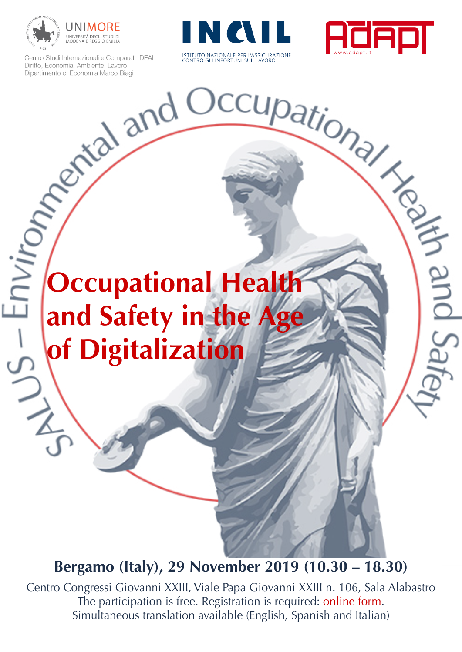

Centro Studi Internazionali e Comparati DEAL<br>Dipitto, Economia, Ambiente, Lavoro<br>Dipartimento di Economia Marco Biagi<br>Dipartimento di Economia Marco Biagi





# **Occupational Health and Safety in the Age of Digitalization**   $32/15$

# **Bergamo (Italy), 29 November 2019 (10.30 – 18.30)**

Centro Congressi Giovanni XXIII, Viale Papa Giovanni XXIII n. 106, Sala Alabastro The participation is free. Registration is required: [online form](http://englishbulletin.adapt.it/events-2/labour-is-not-a-commodity-form/). Simultaneous translation available (English, Spanish and Italian)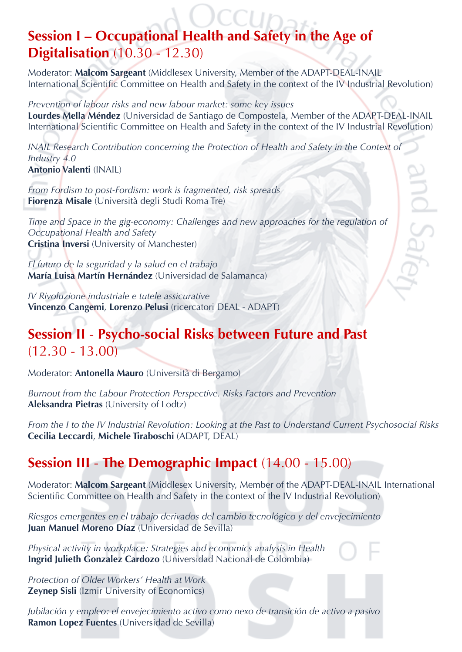# **Session I – Occupational Health and Safety in the Age of Digitalisation** (10.30 - 12.30)

Moderator: **Malcom Sargeant** (Middlesex University, Member of the ADAPT-DEAL-INAIL International Scientific Committee on Health and Safety in the context of the IV Industrial Revolution)

*Prevention of labour risks and new labour market: some key issues* **Lourdes Mella Méndez** (Universidad de Santiago de Compostela, Member of the ADAPT-DEAL-INAIL International Scientific Committee on Health and Safety in the context of the IV Industrial Revolution)

*INAIL Research Contribution concerning the Protection of Health and Safety in the Context of Industry 4.0* **Antonio Valenti** (INAIL) **ARS DUR** 

*From Fordism to post-Fordism: work is fragmented, risk spreads* **Fiorenza Misale** (Università degli Studi Roma Tre)

*Time and Space in the gig-economy: Challenges and new approaches for the regulation of Occupational Health and Safety* **Cristina Inversi** (University of Manchester)

*El futuro de la seguridad y la salud en el trabajo* **María Luisa Martín Hernández** (Universidad de Salamanca)

*IV Rivoluzione industriale e tutele assicurative* **Vincenzo Cangemi**, **Lorenzo Pelusi** (ricercatori DEAL - ADAPT)

#### **Session II** - **Psycho-social Risks between Future and Past**   $(12.30 - 13.00)$

Moderator: **Antonella Mauro** (Università di Bergamo)

*Burnout from the Labour Protection Perspective. Risks Factors and Prevention*  **Aleksandra Pietras** (University of Lodtz)

*From the I to the IV Industrial Revolution: Looking at the Past to Understand Current Psychosocial Risks* **Cecilia Leccardi**, **Michele Tiraboschi** (ADAPT, DEAL)

### **Session III** - **The Demographic Impact** (14.00 - 15.00)

Moderator: **Malcom Sargeant** (Middlesex University, Member of the ADAPT-DEAL-INAIL International Scientific Committee on Health and Safety in the context of the IV Industrial Revolution)

*Riesgos emergentes en el trabajo derivados del cambio tecnológico y del envejecimiento* **Juan Manuel Moreno Díaz** (Universidad de Sevilla)

*Physical activity in workplace: Strategies and economics analysis in Health* **Ingrid Julieth Gonzalez Cardozo** (Universidad Nacional de Colombia)

*Protection of Older Workers' Health at Work* **Zeynep Sisli** (Izmir University of Economics)

*Jubilación y empleo: el envejecimiento activo como nexo de transición de activo a pasivo* **Ramon Lopez Fuentes** (Universidad de Sevilla)